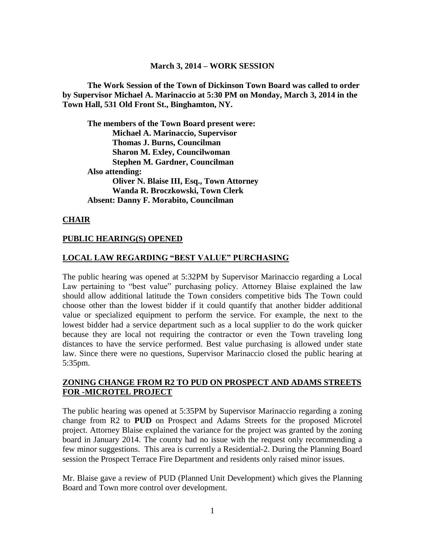#### **March 3, 2014 – WORK SESSION**

**The Work Session of the Town of Dickinson Town Board was called to order by Supervisor Michael A. Marinaccio at 5:30 PM on Monday, March 3, 2014 in the Town Hall, 531 Old Front St., Binghamton, NY.**

**The members of the Town Board present were: Michael A. Marinaccio, Supervisor Thomas J. Burns, Councilman Sharon M. Exley, Councilwoman Stephen M. Gardner, Councilman Also attending: Oliver N. Blaise III, Esq., Town Attorney Wanda R. Broczkowski, Town Clerk Absent: Danny F. Morabito, Councilman**

#### **CHAIR**

#### **PUBLIC HEARING(S) OPENED**

#### **LOCAL LAW REGARDING "BEST VALUE" PURCHASING**

The public hearing was opened at 5:32PM by Supervisor Marinaccio regarding a Local Law pertaining to "best value" purchasing policy. Attorney Blaise explained the law should allow additional latitude the Town considers competitive bids The Town could choose other than the lowest bidder if it could quantify that another bidder additional value or specialized equipment to perform the service. For example, the next to the lowest bidder had a service department such as a local supplier to do the work quicker because they are local not requiring the contractor or even the Town traveling long distances to have the service performed. Best value purchasing is allowed under state law. Since there were no questions, Supervisor Marinaccio closed the public hearing at 5:35pm.

### **ZONING CHANGE FROM R2 TO PUD ON PROSPECT AND ADAMS STREETS FOR -MICROTEL PROJECT**

The public hearing was opened at 5:35PM by Supervisor Marinaccio regarding a zoning change from R2 to **PUD** on Prospect and Adams Streets for the proposed Microtel project. Attorney Blaise explained the variance for the project was granted by the zoning board in January 2014. The county had no issue with the request only recommending a few minor suggestions. This area is currently a Residential-2. During the Planning Board session the Prospect Terrace Fire Department and residents only raised minor issues.

Mr. Blaise gave a review of PUD (Planned Unit Development) which gives the Planning Board and Town more control over development.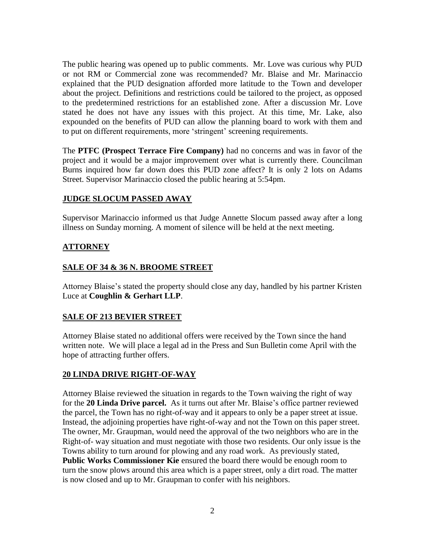The public hearing was opened up to public comments. Mr. Love was curious why PUD or not RM or Commercial zone was recommended? Mr. Blaise and Mr. Marinaccio explained that the PUD designation afforded more latitude to the Town and developer about the project. Definitions and restrictions could be tailored to the project, as opposed to the predetermined restrictions for an established zone. After a discussion Mr. Love stated he does not have any issues with this project. At this time, Mr. Lake, also expounded on the benefits of PUD can allow the planning board to work with them and to put on different requirements, more 'stringent' screening requirements.

The **PTFC (Prospect Terrace Fire Company)** had no concerns and was in favor of the project and it would be a major improvement over what is currently there. Councilman Burns inquired how far down does this PUD zone affect? It is only 2 lots on Adams Street. Supervisor Marinaccio closed the public hearing at 5:54pm.

## **JUDGE SLOCUM PASSED AWAY**

Supervisor Marinaccio informed us that Judge Annette Slocum passed away after a long illness on Sunday morning. A moment of silence will be held at the next meeting.

## **ATTORNEY**

## **SALE OF 34 & 36 N. BROOME STREET**

Attorney Blaise's stated the property should close any day, handled by his partner Kristen Luce at **Coughlin & Gerhart LLP**.

## **SALE OF 213 BEVIER STREET**

Attorney Blaise stated no additional offers were received by the Town since the hand written note. We will place a legal ad in the Press and Sun Bulletin come April with the hope of attracting further offers.

## **20 LINDA DRIVE RIGHT-OF-WAY**

Attorney Blaise reviewed the situation in regards to the Town waiving the right of way for the **20 Linda Drive parcel.** As it turns out after Mr. Blaise's office partner reviewed the parcel, the Town has no right-of-way and it appears to only be a paper street at issue. Instead, the adjoining properties have right-of-way and not the Town on this paper street. The owner, Mr. Graupman, would need the approval of the two neighbors who are in the Right-of- way situation and must negotiate with those two residents. Our only issue is the Towns ability to turn around for plowing and any road work. As previously stated, Public Works Commissioner Kie ensured the board there would be enough room to turn the snow plows around this area which is a paper street, only a dirt road. The matter is now closed and up to Mr. Graupman to confer with his neighbors.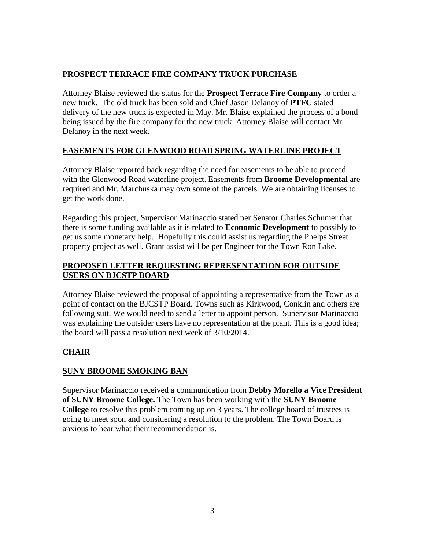# **PROSPECT TERRACE FIRE COMPANY TRUCK PURCHASE**

Attorney Blaise reviewed the status for the **Prospect Terrace Fire Company** to order a new truck. The old truck has been sold and Chief Jason Delanoy of **PTFC** stated delivery of the new truck is expected in May. Mr. Blaise explained the process of a bond being issued by the fire company for the new truck. Attorney Blaise will contact Mr. Delanoy in the next week.

## **EASEMENTS FOR GLENWOOD ROAD SPRING WATERLINE PROJECT**

Attorney Blaise reported back regarding the need for easements to be able to proceed with the Glenwood Road waterline project. Easements from **Broome Developmental** are required and Mr. Marchuska may own some of the parcels. We are obtaining licenses to get the work done.

Regarding this project, Supervisor Marinaccio stated per Senator Charles Schumer that there is some funding available as it is related to **Economic Development** to possibly to get us some monetary help. Hopefully this could assist us regarding the Phelps Street property project as well. Grant assist will be per Engineer for the Town Ron Lake.

## **PROPOSED LETTER REQUESTING REPRESENTATION FOR OUTSIDE USERS ON BJCSTP BOARD**

Attorney Blaise reviewed the proposal of appointing a representative from the Town as a point of contact on the BJCSTP Board. Towns such as Kirkwood, Conklin and others are following suit. We would need to send a letter to appoint person. Supervisor Marinaccio was explaining the outsider users have no representation at the plant. This is a good idea; the board will pass a resolution next week of 3/10/2014.

# **CHAIR**

## **SUNY BROOME SMOKING BAN**

Supervisor Marinaccio received a communication from **Debby Morello a Vice President of SUNY Broome College.** The Town has been working with the **SUNY Broome College** to resolve this problem coming up on 3 years. The college board of trustees is going to meet soon and considering a resolution to the problem. The Town Board is anxious to hear what their recommendation is.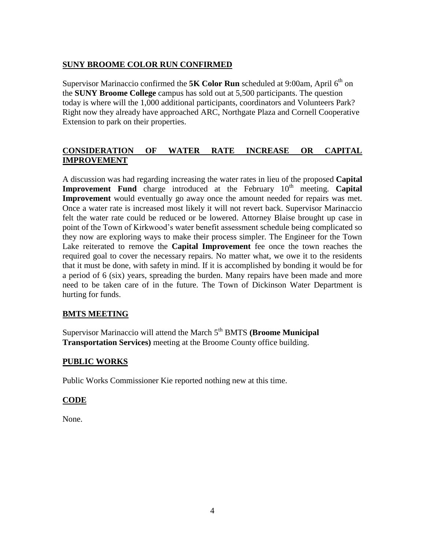## **SUNY BROOME COLOR RUN CONFIRMED**

Supervisor Marinaccio confirmed the **5K Color Run** scheduled at 9:00am, April  $6<sup>th</sup>$  on the **SUNY Broome College** campus has sold out at 5,500 participants. The question today is where will the 1,000 additional participants, coordinators and Volunteers Park? Right now they already have approached ARC, Northgate Plaza and Cornell Cooperative Extension to park on their properties.

## **CONSIDERATION OF WATER RATE INCREASE OR CAPITAL IMPROVEMENT**

A discussion was had regarding increasing the water rates in lieu of the proposed **Capital Improvement** Fund charge introduced at the February 10<sup>th</sup> meeting. Capital **Improvement** would eventually go away once the amount needed for repairs was met. Once a water rate is increased most likely it will not revert back. Supervisor Marinaccio felt the water rate could be reduced or be lowered. Attorney Blaise brought up case in point of the Town of Kirkwood's water benefit assessment schedule being complicated so they now are exploring ways to make their process simpler. The Engineer for the Town Lake reiterated to remove the **Capital Improvement** fee once the town reaches the required goal to cover the necessary repairs. No matter what, we owe it to the residents that it must be done, with safety in mind. If it is accomplished by bonding it would be for a period of 6 (six) years, spreading the burden. Many repairs have been made and more need to be taken care of in the future. The Town of Dickinson Water Department is hurting for funds.

## **BMTS MEETING**

Supervisor Marinaccio will attend the March 5<sup>th</sup> BMTS (**Broome Municipal Transportation Services)** meeting at the Broome County office building.

## **PUBLIC WORKS**

Public Works Commissioner Kie reported nothing new at this time.

## **CODE**

None.